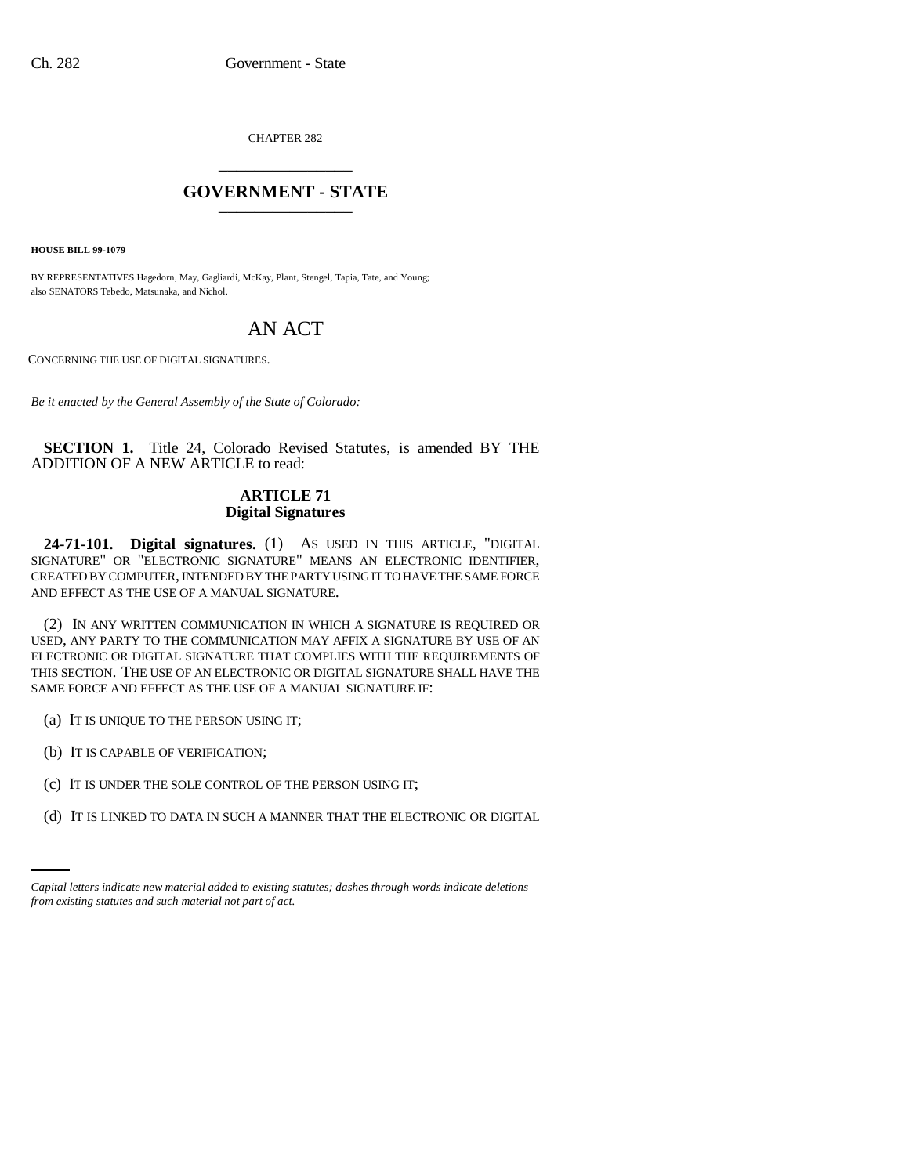CHAPTER 282 \_\_\_\_\_\_\_\_\_\_\_\_\_\_\_

## **GOVERNMENT - STATE** \_\_\_\_\_\_\_\_\_\_\_\_\_\_\_

**HOUSE BILL 99-1079** 

BY REPRESENTATIVES Hagedorn, May, Gagliardi, McKay, Plant, Stengel, Tapia, Tate, and Young; also SENATORS Tebedo, Matsunaka, and Nichol.

# AN ACT

CONCERNING THE USE OF DIGITAL SIGNATURES.

*Be it enacted by the General Assembly of the State of Colorado:*

**SECTION 1.** Title 24, Colorado Revised Statutes, is amended BY THE ADDITION OF A NEW ARTICLE to read:

### **ARTICLE 71 Digital Signatures**

**24-71-101. Digital signatures.** (1) AS USED IN THIS ARTICLE, "DIGITAL SIGNATURE" OR "ELECTRONIC SIGNATURE" MEANS AN ELECTRONIC IDENTIFIER, CREATED BY COMPUTER, INTENDED BY THE PARTY USING IT TO HAVE THE SAME FORCE AND EFFECT AS THE USE OF A MANUAL SIGNATURE.

(2) IN ANY WRITTEN COMMUNICATION IN WHICH A SIGNATURE IS REQUIRED OR USED, ANY PARTY TO THE COMMUNICATION MAY AFFIX A SIGNATURE BY USE OF AN ELECTRONIC OR DIGITAL SIGNATURE THAT COMPLIES WITH THE REQUIREMENTS OF THIS SECTION. THE USE OF AN ELECTRONIC OR DIGITAL SIGNATURE SHALL HAVE THE SAME FORCE AND EFFECT AS THE USE OF A MANUAL SIGNATURE IF:

- (a) IT IS UNIQUE TO THE PERSON USING IT;
- (b) IT IS CAPABLE OF VERIFICATION;
- (c) IT IS UNDER THE SOLE CONTROL OF THE PERSON USING IT;
	- (d) IT IS LINKED TO DATA IN SUCH A MANNER THAT THE ELECTRONIC OR DIGITAL

*Capital letters indicate new material added to existing statutes; dashes through words indicate deletions from existing statutes and such material not part of act.*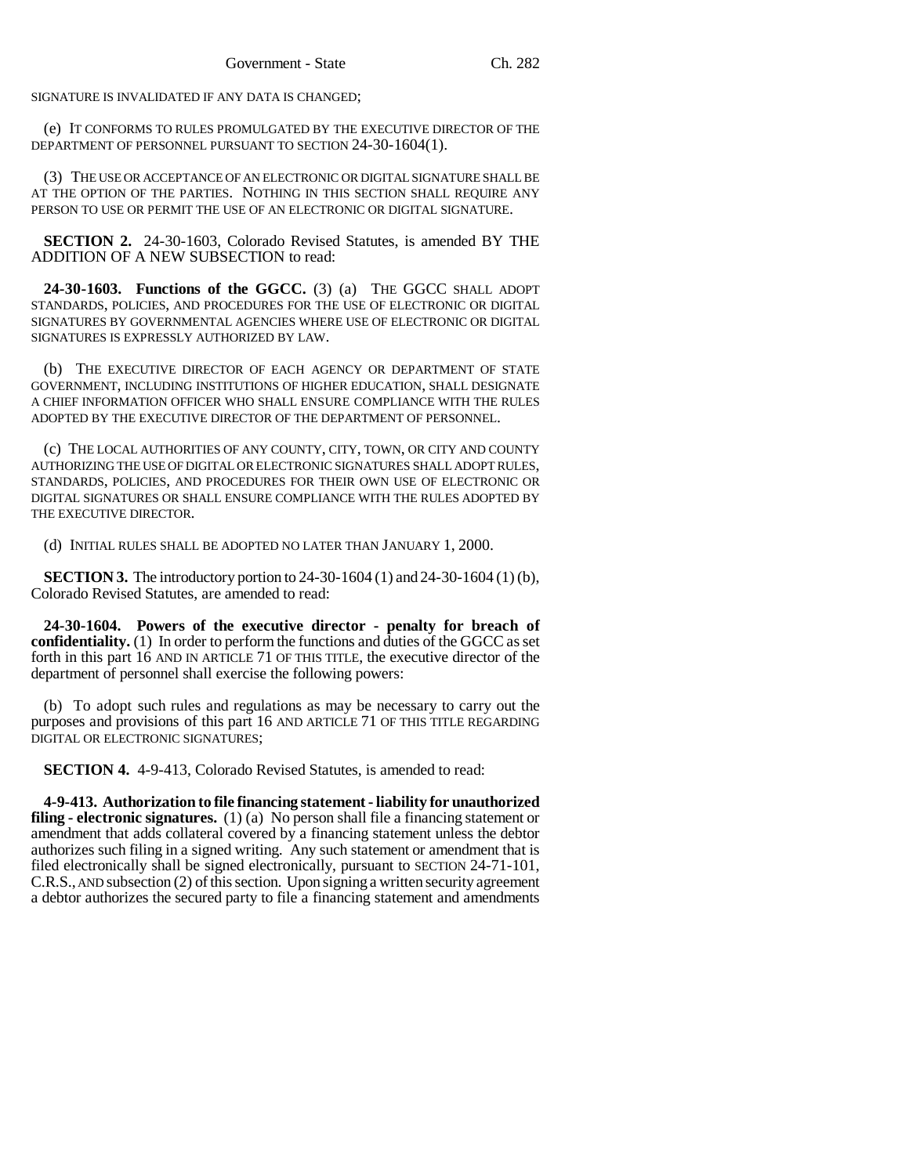SIGNATURE IS INVALIDATED IF ANY DATA IS CHANGED;

(e) IT CONFORMS TO RULES PROMULGATED BY THE EXECUTIVE DIRECTOR OF THE DEPARTMENT OF PERSONNEL PURSUANT TO SECTION 24-30-1604(1).

(3) THE USE OR ACCEPTANCE OF AN ELECTRONIC OR DIGITAL SIGNATURE SHALL BE AT THE OPTION OF THE PARTIES. NOTHING IN THIS SECTION SHALL REQUIRE ANY PERSON TO USE OR PERMIT THE USE OF AN ELECTRONIC OR DIGITAL SIGNATURE.

**SECTION 2.** 24-30-1603, Colorado Revised Statutes, is amended BY THE ADDITION OF A NEW SUBSECTION to read:

**24-30-1603. Functions of the GGCC.** (3) (a) THE GGCC SHALL ADOPT STANDARDS, POLICIES, AND PROCEDURES FOR THE USE OF ELECTRONIC OR DIGITAL SIGNATURES BY GOVERNMENTAL AGENCIES WHERE USE OF ELECTRONIC OR DIGITAL SIGNATURES IS EXPRESSLY AUTHORIZED BY LAW.

(b) THE EXECUTIVE DIRECTOR OF EACH AGENCY OR DEPARTMENT OF STATE GOVERNMENT, INCLUDING INSTITUTIONS OF HIGHER EDUCATION, SHALL DESIGNATE A CHIEF INFORMATION OFFICER WHO SHALL ENSURE COMPLIANCE WITH THE RULES ADOPTED BY THE EXECUTIVE DIRECTOR OF THE DEPARTMENT OF PERSONNEL.

(c) THE LOCAL AUTHORITIES OF ANY COUNTY, CITY, TOWN, OR CITY AND COUNTY AUTHORIZING THE USE OF DIGITAL OR ELECTRONIC SIGNATURES SHALL ADOPT RULES, STANDARDS, POLICIES, AND PROCEDURES FOR THEIR OWN USE OF ELECTRONIC OR DIGITAL SIGNATURES OR SHALL ENSURE COMPLIANCE WITH THE RULES ADOPTED BY THE EXECUTIVE DIRECTOR.

(d) INITIAL RULES SHALL BE ADOPTED NO LATER THAN JANUARY 1, 2000.

**SECTION 3.** The introductory portion to 24-30-1604 (1) and 24-30-1604 (1) (b), Colorado Revised Statutes, are amended to read:

**24-30-1604. Powers of the executive director - penalty for breach of confidentiality.** (1) In order to perform the functions and duties of the GGCC as set forth in this part 16 AND IN ARTICLE 71 OF THIS TITLE, the executive director of the department of personnel shall exercise the following powers:

(b) To adopt such rules and regulations as may be necessary to carry out the purposes and provisions of this part 16 AND ARTICLE 71 OF THIS TITLE REGARDING DIGITAL OR ELECTRONIC SIGNATURES;

**SECTION 4.** 4-9-413, Colorado Revised Statutes, is amended to read:

**4-9-413. Authorization to file financing statement - liability for unauthorized filing - electronic signatures.** (1) (a) No person shall file a financing statement or amendment that adds collateral covered by a financing statement unless the debtor authorizes such filing in a signed writing. Any such statement or amendment that is filed electronically shall be signed electronically, pursuant to SECTION 24-71-101, C.R.S., AND subsection (2) of this section. Upon signing a written security agreement a debtor authorizes the secured party to file a financing statement and amendments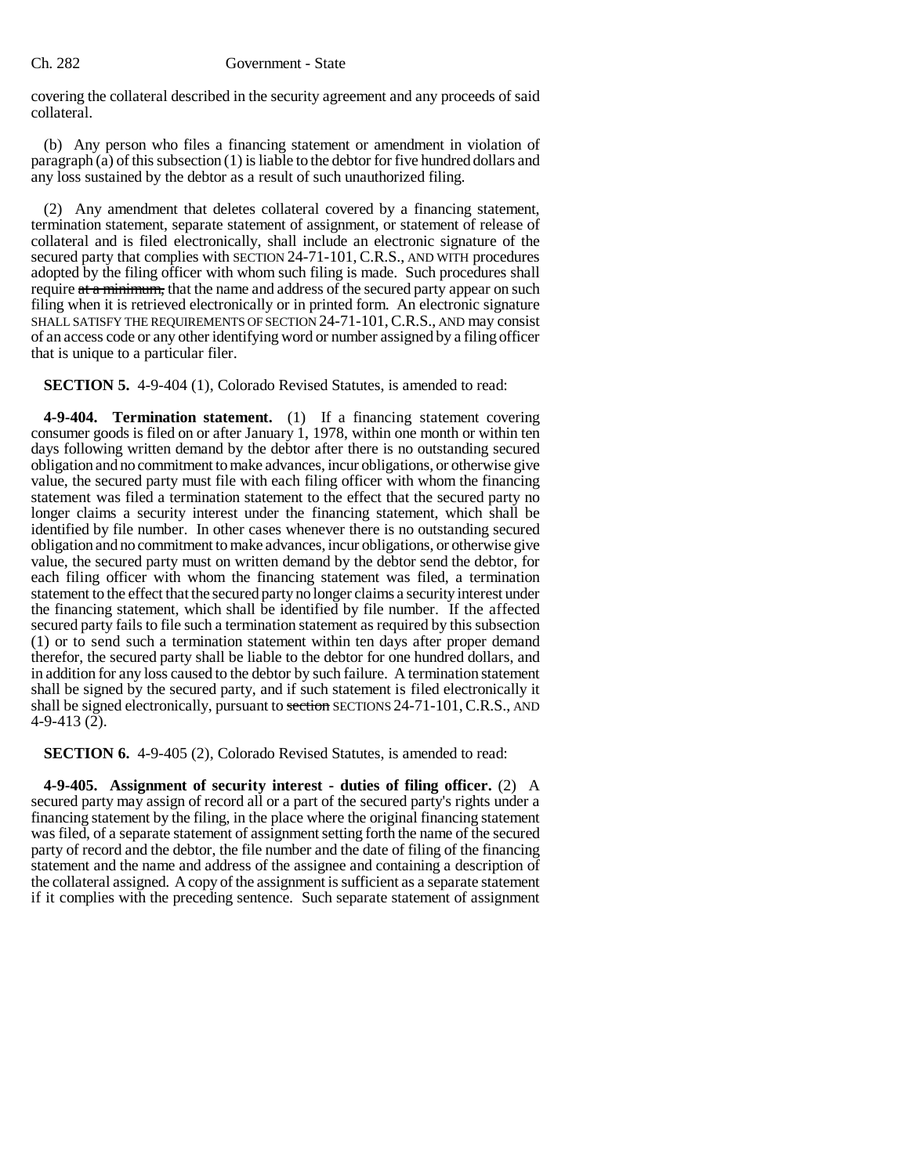#### Ch. 282 Government - State

covering the collateral described in the security agreement and any proceeds of said collateral.

(b) Any person who files a financing statement or amendment in violation of paragraph (a) of this subsection (1) is liable to the debtor for five hundred dollars and any loss sustained by the debtor as a result of such unauthorized filing.

(2) Any amendment that deletes collateral covered by a financing statement, termination statement, separate statement of assignment, or statement of release of collateral and is filed electronically, shall include an electronic signature of the secured party that complies with SECTION 24-71-101, C.R.S., AND WITH procedures adopted by the filing officer with whom such filing is made. Such procedures shall require at a minimum, that the name and address of the secured party appear on such filing when it is retrieved electronically or in printed form. An electronic signature SHALL SATISFY THE REQUIREMENTS OF SECTION 24-71-101,C.R.S., AND may consist of an access code or any other identifying word or number assigned by a filing officer that is unique to a particular filer.

**SECTION 5.** 4-9-404 (1), Colorado Revised Statutes, is amended to read:

**4-9-404. Termination statement.** (1) If a financing statement covering consumer goods is filed on or after January 1, 1978, within one month or within ten days following written demand by the debtor after there is no outstanding secured obligation and no commitment to make advances, incur obligations, or otherwise give value, the secured party must file with each filing officer with whom the financing statement was filed a termination statement to the effect that the secured party no longer claims a security interest under the financing statement, which shall be identified by file number. In other cases whenever there is no outstanding secured obligation and no commitment to make advances, incur obligations, or otherwise give value, the secured party must on written demand by the debtor send the debtor, for each filing officer with whom the financing statement was filed, a termination statement to the effect that the secured party no longer claims a security interest under the financing statement, which shall be identified by file number. If the affected secured party fails to file such a termination statement as required by this subsection (1) or to send such a termination statement within ten days after proper demand therefor, the secured party shall be liable to the debtor for one hundred dollars, and in addition for any loss caused to the debtor by such failure. A termination statement shall be signed by the secured party, and if such statement is filed electronically it shall be signed electronically, pursuant to section SECTIONS 24-71-101, C.R.S., AND 4-9-413 $(2)$ .

**SECTION 6.** 4-9-405 (2), Colorado Revised Statutes, is amended to read:

**4-9-405. Assignment of security interest - duties of filing officer.** (2) A secured party may assign of record all or a part of the secured party's rights under a financing statement by the filing, in the place where the original financing statement was filed, of a separate statement of assignment setting forth the name of the secured party of record and the debtor, the file number and the date of filing of the financing statement and the name and address of the assignee and containing a description of the collateral assigned. A copy of the assignment is sufficient as a separate statement if it complies with the preceding sentence. Such separate statement of assignment